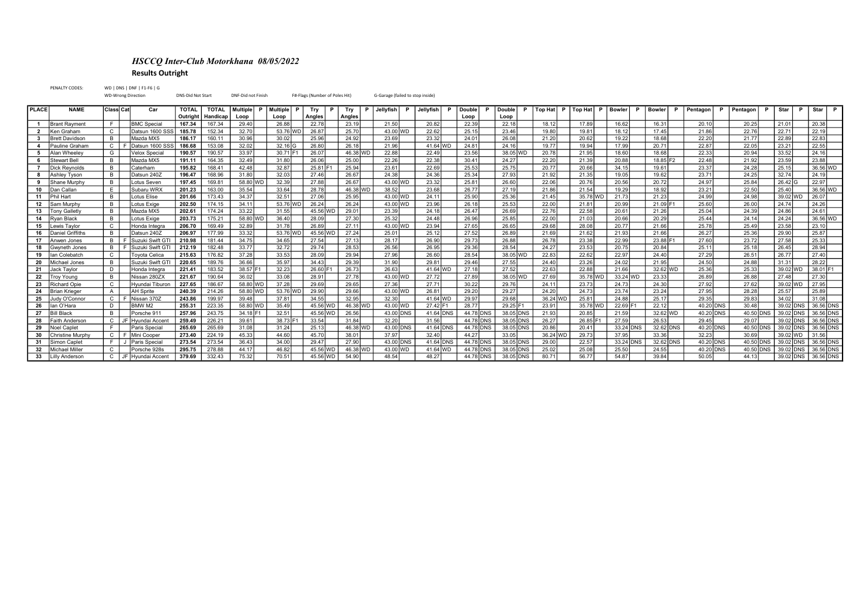## HSCCQ Inter-Club Motorkhana 08/05/2022 Results Outright

PENALTY CODES: WD | DNS | DNF | F1-F6 | G WD-Wrong Direction DNS-Did Not Start DNF-Did not Finish F#-Flags (Number of Poles Hit) G-Garage (failed to stop inside) PLACE NAME Class Cat Car | TOTAL | TOTAL | Multiple P | Multiple P | Try | P | Jellyfish P | Jellyfish P | Double P | Double P | Top Hat | P | Bowler | P | Bowler | P | Pentagon | P | Pentagon | P | Star | P | Star | P | S Outright Handicap Loop Loop Angles Angles Loop Loop 1 Brant Rayment | F | BMC Special | 167.34 | 167.34 | 29.40 | 26.88 | 22.78 | 23.19 | 21.50 | 20.32 | 22.39 | 22.38 | 16.12 | 17.89 | 16.62 | 16.31 | 20.10 | 20.25 | 21.01 | 20.38 | 2 Ken Graham C | C | Datsun 1600 SSS | 185.78 | 152.34 | 32.70 | 33.76 WD | 26.87 | 25.70 | 23.70 | 22.52 | 25.15 | 23.15 | 23.15 | 19.80 | 19.81 | 18.12 | 17.45 | 21.86 | 22.76 | 22.71 | 22.19 3 Brett Davidson | B | Mazda MX5 | 186.17 | 160.11 | 30.96 | 25.96 | 24.92 | 23.89 | 23.32 | 24.01 | 26.08 | 21.20 | 20.82 | 18.68 | 22.00 | 21.77 | 22.89 | 22.83 | 4 Pauline Graham C F Datsun 1600 SSS 186.68 | 153.08 | 32.02 | 32.16 | 26.80 | 26.18 | 21.96 | 41.64 WD | 24.81 | 24.81 | 24.81 | 19.77 | 19.94 | 17.99 | 20.71 | 22.87 | 22.05 | 23.21 | 22.55 5 Alan Wheeley G Velox Special 190.57 190.57 33.97 30.71 F1 26.07 46.38 WD 22.88 22.49 23.56 38.05 2078 20.78 20.75 18.60 18.68 22.33 20.94 33.52 24.16 6 Stewart Bell | B | Mazda MX5 | 191.11 | 164.35 | 32.49 | 31.80 | 26.06 | 25.00 | 22.26 | 22.38 | 30.41 | 24.27 | 22.20 | 21.39 | 20.88 | 18.85 F2 | 22.48 | 21.92 | 23.59 | 23.88 | 23.89 7 Dick Reynolds B Caterham 195.82 168.41 42.48 32.87 25.81 F1 25.94 23.61 22.69 25.53 25.75 20.77 20.66 34.15 19.61 23.37 24.28 25.15 36.56 WD 8 Ashley Tyson B Datsun 240Z 196.47 168.96 31.80 32.03 27.46 26.67 24.38 24.36 25.34 27.93 21.92 21.92 21.35 19.05 19.62 23.71 24.25 32.74 24.19 9 Shane Murphy B Lotus Seven 197.45 169.81 58.80 WD 32.39 27.88 26.67 43.00 WD 23.32 25.81 26.60 22.06 20.76 20.56 20.72 24.97 25.84 26.42 G 22.97 10 Dan Callan E Subaru WRX 201.23 163.00 35.54 33.64 28.78 46.38 WD 38.52 23.68 26.77 27.19 21.36 21.54 19.29 18.92 23.21 23.21 23.50 25.40 36.56 WD 11 Phil Hart B Lotus Elise 201.66 173.43 34.37 32.51 27.06 25.95 43.00 WD 24.11 25.90 25.36 21.45 35.78 WD 21.73 21.23 24.99 24.99 39.02 WD 26.07 12 Sam Murphy | B | Lotus Exige | 202.50 | 174.15 | 34.11 | 53.76 WD | 26.24 | 43.00 WD | 23.96 | 26.18 | 26.53 | 22.00 | 21.81 | 20.99 | 21.09 F1 | 25.60 | 26.00 | 24.74 | 24.26 | 13 Tony Galletly | B | Mazda MX5 | 202.61 | 174.24 | 33.22 | 31.55 | 45.56 WD | 29.01 | 23.39 | 24.18 | 26.69 | 22.76 | 22.76 | 22.58 | 20.61 | 21.26 | 25.04 | 24.39 | 24.86 | 24.86 | 24.86 14 Ryan Black | B | Lotus Exige | 203.73 | 175.21 | 58.80 WD | 36.40 | 28.09 | 27.30 | 25.32 | 24.48 | 26.96 | 25.85 | 22.00 | 21.03 | 20.66 | 20.29 | 25.44 | 24.24 | 36.56 WD 15 Lewis Taylor | C | Honda Integra | 206.70 | 169.49 | 32.89 | 31.78 | 26.89 | 27.11 | 43.00 WD | 23.94 | 27.55 | 28.65 | 28.65 | 28.68 | 28.08 | 20.77 | 21.66 | 25.78 | 25.19 | 25.49 | 23.58 | 23.10 16 Daniel Griffiths | B | Datsun 240Z | 206.97 | 177.99 | 33.32 | 53.76 WD | 27.24 | 25.01 | 25.12 | 27.52 | 26.89 | 21.69 | 21.62 | 21.93 | 21.66 | 26.27 | 25.86 | 29.90 | 25.87 | 17 Anwen Jones | B | F Suzuki Swift GTI | 210.98 | 181.44 | 34.75 | 34.65 | 27.54 | 27.13 | 28.17 | 26.90 | 29.73 | 26.88 | 26.78 | 23.38 | 22.99 | 23.88 | 1 27.60 | 23.72 | 27.58 | 25.33 18 Gwyneth Jones | B | F Suzuki Swift GTI | 212.19 | 182.48 | 33.77 | 32.72 | 29.74 | 28.53 | 26.56 | 26.95 | 28.96 | 28.56 | 28.56 | 28.56 | 28.56 | 28.54 | 24.27 | 23.53 | 20.75 | 20.84 | 25.11 | 25.18 | 26.45 | 28.94 19 |lan Colebatch | C | Toyota Celica | 215.63 | 176.82 | 37.28 | 33.53 | 28.09 | 29.94 | 27.96 | 26.60 | 28.54 | 38.05 | WD | 22.83 | 22.62 | 22.97 | 24.40 | 27.29 | 26.51 | 26.77 | 27.40 20 Michael Jones | B | Suzuki Swift GTI | 220.65 | 189.76 | 36.66 | 35.97 | 34.43 | 29.39 | 31.90 | 29.81 | 29.46 | 27.55 | 24.40 | 23.26 | 24.02 | 21.95 | 24.50 | 24.88 | 31.31 | 28.22 21 Jack Taylor | D | Honda Integra | 221.41 | 183.52 | 38.57 F1 | 32.23 | 26.60 F1 | 26.73 | 26.63 | 41.64 WD | 27.18 | 27.52 | 22.63 | 22.63 | 21.66 | 32.62 WD | 25.36 | 25.36 | 39.02 WD | 38.01 F1 22 Troy Young B | Nissan 280ZX | 221.67 | 190.64 | 36.02 | 33.08 | 28.91 | 27.78 | 43.00 | 27.78 | 27.72 | 27.79 | 38.05 | 27.89 | 38.05 | 27.69 | 35.78 | 27.69 | 35.78 | 200 | 33.24 | 200 | 27.30 | 26.89 | 26.88 | 27.48 | 23 Richard Opie C | Hyundai Tiburon | 227.65 | 186.67 | 58.80 WD | 37.28 | 29.69 | 29.65 | 27.36 | 27.71 | 30.22 | 29.76 | 24.11 | 23.73 | 24.73 | 24.30 | 27.92 | 27.62 | 39.02 WD | 27.95 24 Brian Krieger | A | AH Sprite | 240.39 | 214.26 | 58.80 WD | 53.76 WD | 29.90 | 29.96 | 29.20 | 29.20 | 29.20 | 24.20 | 24.20 | 24.20 | 23.74 | 23.24 | 27.95 | 28.28 | 25.57 | 25.89 25 Judy O'Connor C F Nissan 370Z 243.86 199.97 39.48 37.81 34.55 32.95 32.30 41.64 WD 29.97 29.68 36.24 WD 25.81 24.88 25.17 29.35 29.83 34.02 31.08 26 |lan O'Hara | D | BMW M2 | 255.31 | 223.35 | 58.80 WD | 35.49 | 45.56 WD | 46.38 WD | 46.38 WD | 27.42 F1 | 28.77 | 29.25 F1 | 23.91 | 35.78 WD | 22.69 F1 | 22.12 | 40.20 DNS | 30.48 | 39.02 DNS | 36.56 DNS 27 Bill Black B Porsche 911 257.96 243.75 34.18 F1 32.51 45.56 400 26.56 43.00 DNS 41.64 DNS 44.78 DNS 38.05 DNS 38.05 DNS 38.05 DNS 39.05 DNS 39.05 DNS 39.02 DNS 39.02 DNS 36.56 DNS 28 Faith Anderson C JF Hyundai Accent 259.49 226.21 39.61 39.35 38.73 F1 33.54 31.84 32.20 31.56 44.78 DNS 38.05 DNS 26.27 26.85 F1 27.59 26.53 29.45 29.45 39.02 DNS 36.06 DNS 29 Noel Caplet F Paris Special 265.69 265.69 31.08 31.24 25.13 46.38 WD 43.00 DNS 41.64 DNS 44.78 DNS 38.05 DNS 3.08 DNS 33.24 DNS 33.24 DNS 32.62 DNS 40.20 DNS 38.05 DNS 39.02 DNS 36.56 DNS 30 Christine Murphy C F Mini Cooper 273.40 224.19 45.33 44.60 45.70 38.01 37.97 32.40 44.27 33.05 36.24 WD 29.73 37.95 33.36 32.23 30.69 39.02 WD 31.56 31 Simon Caplet F J Paris Special 273.54 273.54 36.43 34.40 34.00 29.47 27.90 43.00 DNS 44.78 DNS 38.05 DNS 38.05 DNS 33.24 DNS 33.24 DNS 32.62 DNS 40.20 DNS 40.20 DNS 39.02 DNS 36.56 DNS 32 Michael Miller C Porsche 928s 295.75 278.88 44.17 46.82 45.56 WD 46.38 WD 43.00 WD 41.64 WD 44.78 DNS 38.05 DNS 38.05 DNS 25.02 25.08 25.50 25.50 40.20 DNS 40.50 DNS 39.02 DNS 36.56 DNS 33 Lilly Anderson C JF Hyundai Accent | 379.69 | 332.43 | 75.32 | 70.51 | 45.56 WD | 54.90 | 48.54 | 48.27 | 44.78 DNS | 38.05 |DNS | 38.05 | 56.77 | 56.77 | 56.77 | 54.87 | 39.84 | 50.05 | 44.13 | 39.02 DNS | 36.56 DNS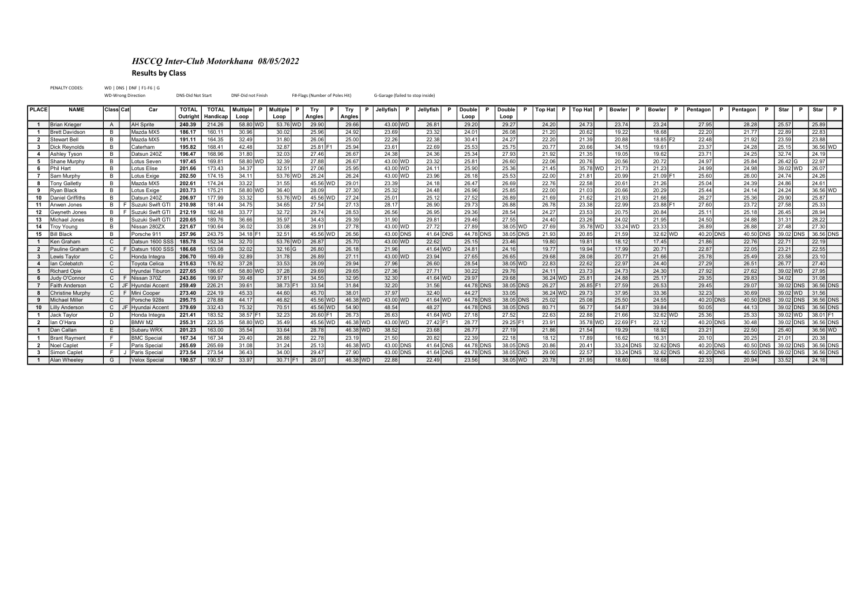## HSCCQ Inter-Club Motorkhana 08/05/2022 Results by Class

PENALTY CODES: WD | DNS | DNF | F1-F6 | G WD-Wrong Direction DNS-Did Not Start DNF-Did not Finish F#-Flags (Number of Poles Hit) G-Garage (failed to stop inside) PLACE NAME Class Cat Car | TOTAL | Multiple P | Multiple P | Try P | Jellyfish P | Jellyfish P | Double P | Double P | Top Hat P | Top Hat P | Bowler P | Bowler P | Pentagon P | Pentagon P | Star | P | Star | P | Star | P Outright Handicap Loop Loop Angles Angles Loop Loop 1 Brian Krieger | A | |AH Sprite | 240.39 | 214.26 | 58.80 WD | 29.90 | 29.66 | 43.00 WD | 26.81 | 29.20 | 29.27 | 24.20 | 24.20 | 24.73 | 23.74 | 23.24 | 27.95 | 28.28 | 25.57 | 25.89 | 1 Brett Davidson | B | Mazda MX5 | 186.17 | 160.11 | 30.96 | 25.96 | 24.92 | 23.89 | 23.32 | 24.01 | 26.08 | 21.20 | 20.82 | 18.68 | 22.00 | 21.77 | 22.89 | 22.83 | 2 Stewart Bell | B | Mazda MX5 | 191.11 | 164.35 | 32.49 | 31.80 | 26.06 | 25.00 | 22.26 | 22.38 | 30.41 | 24.27 | 22.20 | 21.39 | 20.88 | 18.85 F2 | 22.48 | 21.92 | 23.59 | 23.88 | 3 Dick Reynolds B Caterham 195.82 168.41 42.48 32.87 25.81 F1 25.94 23.61 25.53 25.75 20.77 20.66 34.15 19.61 23.37 24.28 25.15 36.56 WD 4 Ashley Tyson B Datsun 240Z 196.47 168.96 31.80 32.03 27.46 26.67 24.38 24.36 25.34 27.93 21.92 21.92 21.35 19.05 19.62 23.71 24.25 32.74 24.19 5 Shane Murphy | B | Lotus Seven | 197.45 | 169.81 | 58.80 WD | 32.39 | 27.88 | 26.67 | 43.00 WD | 23.32 | 25.81 | 26.60 | 20.06 | 20.76 | 20.56 | 20.72 | 24.97 | 25.84 | 26.42 |G | 22.97 6 Phil Hart B Lotus Elise 201.66 173.43 34.37 32.51 27.06 25.95 43.00 WD 24.11 25.90 25.36 21.45 35.78 WD 21.73 21.23 24.99 24.99 24.98 39.02 WD 26.07 7 Sam Murphy | B | Lotus Exige | 202.50 | 174.15 | 34.11 | 53.76 WD | 26.24 | 26.24 | 43.00 WD | 23.96 | 26.18 | 25.53 | 22.00 | 21.81 | 20.99 | 21.09 F1 | 25.60 | 26.00 | 24.74 | 24.26 8 Tony Galletly | B | Mazda MX5 | 202.61 | 174.24 | 33.22 | 31.55 | 45.56 WD | 29.01 | 23.39 | 24.18 | 26.47 | 26.69 | 22.76 | 22.76 | 22.58 | 20.61 | 21.26 | 25.04 | 24.39 | 24.86 | 24.61 | 9 Ryan Black | B | Lotus Exige | 203.73 | 175.21 | 58.80 WD | 36.40 | 28.09 | 27.30 | 25.32 | 24.48 | 26.86 | 26.85 | 22.00 | 21.03 | 20.66 | 20.29 | 25.44 | 24.24 | 36.56 WD 10 Daniel Griffiths | B | Datsun 240Z | 206.97 | 177.99 | 33.32 | 53.76 WD | 25.87 WD | 27.24 | 25.01 | 25.12 | 27.52 | 26.89 | 21.69 | 21.62 | 21.93 | 21.66 | 26.27 | 25.86 | 29.90 | 25.87 | 11 Anwen Jones | B | F Suzuki Swift GTI | 210.98 | 181.44 | 34.75 | 34.65 | 27.54 | 27.13 | 28.17 | 26.90 | 26.78 | 26.78 | 26.78 | 28.88 | 22.99 | 23.88 | 1 27.50 | 27.50 | 27.58 | 27.58 | 27.58 12 Gwyneth Jones B F Suzuki Swift GTI 212.19 182.48 33.77 32.72 29.74 28.53 26.56 26.95 29.36 28.54 24.27 23.53 20.75 20.84 25.11 25.18 26.45 28.94 13 Michael Jones | B | Suzuki Swift GTI | 220.65 | 189.76 | 36.66 | 35.97 | 34.43 | 29.39 | 31.90 | 29.81 | 29.46 | 27.55 | 24.40 | 23.26 | 24.02 | 21.95 | 24.50 | 24.88 | 31.31 | 28.22 14 Troy Young B | Nissan 280ZX | 221.67 | 190.64 | 36.02 | 33.08 | 28.91 | 27.78 | 43.00 WD | 27.72 | 27.79 | 38.05 WD | 27.69 | 35.78 WD | 33.24 WD | 23.33 | 26.89 | 26.89 | 27.48 | 27.30 | 15 Bill Black B Porsche 911 257.96 243.75 34.18 F1 32.51 45.56 WD 26.56 43.00 DNS 44.78 DNS 38.05 DNS 38.05 DNS 39.05 DNS 39.02 DNS 39.02 DNS 36.06 DNS 39.02 DNS 36.56 DNS 1 Ken Graham | C | Datsun 1600 SSS | 185.78 | 152.34 | 32.70 | 35.76 WD | 26.87 | 25.70 | 25.70 | 25.70 | 25.70 | 25.70 | 25.70 | 25.70 | 25.70 | 25.70 | 25.70 | 25.70 | 25.70 | 27.71 | 27.78 | 27.71 | 22.19 | 23.76 | 22.7 2 Pauline Graham C F Datsun 1600 SSS 186.68 | 153.08 | 32.02 | 32.16 | 26.80 | 26.18 | 21.96 | 41.64 WD | 24.81 | 24.81 | 19.77 | 19.94 | 17.99 | 20.71 | 22.87 | 22.05 | 23.21 | 22.55 3 Lewis Taylor C | C | Honda Integra | 206.70 | 169.49 | 32.89 | 31.78 | 26.89 | 27.11 | 43.00 WD | 23.94 | 27.65 | 26.65 | 29.68 | 28.08 | 20.77 | 21.66 | 25.78 | 25.49 | 23.58 | 23.10 4 Ian Colebatch C Toyota Celica 215.63 176.82 37.28 33.53 28.09 29.94 27.96 26.60 28.54 38.05 WD 22.83 22.62 22.97 24.40 27.29 26.51 26.77 27.40 5 Richard Opie C | Hyundai Tiburon | 227.65 | 186.67 | 58.80 WD | 37.28 | 29.69 | 29.65 | 27.36 | 27.71 | 30.22 | 29.75 | 24.79 | 24.73 | 24.73 | 24.30 | 27.92 | 27.92 | 27.62 | 39.02 WD | 27.95 6 Judy O'Connor | C | F |Nissan 370Z | 243.86 | 199.97 | 39.48 | 37.81 | 34.55 | 32.95 | 32.30 | 41.64 WD | 29.97 | 29.87 | 36.24 |WD | 25.81 | 24.88 | 25.17 | 29.35 | 29.83 | 34.02 | 31.08 | 7 Faith Anderson C JF Hyundai Accent 259.49 226.21 39.61 38.73 F1 33.54 31.84 32.20 31.56 44.78 DNS 36.05 DNS 26.27 26.85 F1 27.59 26.53 29.45 29.45 29.07 39.02 DNS 36.56 DNS 8 Christine Murphy C F Mini Cooper 273.40 224.19 45.33 44.60 45.70 38.01 37.97 32.40 44.27 33.05 36.24 WD 29.73 37.95 33.36 33.36 32.23 30.69 39.02 WD 31.56 9 Michael Miller C Porsche 928s 295.75 278.88 44.17 46.82 45.56 WD 46.38 WD 43.00 WD 41.64 WD 44.78 DNS 38.05 DNS 38.05 DNS 25.02 25.08 25.60 24.55 40.20 DNS 40.50 DNS 39.02 DNS 38.56 DNS 10 Lilly Anderson C JF Hyundai Accent | 379.69 | 332.43 | 75.32 | 70.51 | 45.56 WD | 54.90 | 48.54 | 48.27 | 44.78 DNS | 38.05 DNS | 80.71 | 56.77 | 56.77 | 39.84 | 50.05 | 44.13 | 39.02 DNS | 36.56 DNS 1 Jack Taylor | D | Honda Integra | 221.41 | 183.52 | 38.57 F1 | 32.23 | 26.60 F1 | 26.73 | 26.63 | 41.64 WD | 27.18 | 27.52 | 2.88 | 21.66 | 32.62 WD | 25.36 | 25.33 | 39.02 WD | 38.01 F1 2 |lan O'Hara | D | BMW M2 | 255.31 | 223.35 | 58.80 WD | 35.49 | | 45.56 WD | 46.38 WD | 43.00 WD | 27.42 | 7 23.21 | 23.78 | 30.9 | 35.78 | 30.48 | 39.02 |DNS | 36.56 |DNS | 36.56 |DNS 1 |Dan Callan | E | |Subaru WRX | **201.23** | 163.00 | 35.54 | 133.64 | 28.78 | 46.38 |WD | 38.52 | 23.68 | 26.77 | 27.19 | 21.56 | 21.54 | 19.29 | 18.92 | 23.21 | 22.50 | 25.40 | 36.56 |WD 1 Brant Rayment | F | BMC Special | 167.34 | 167.34 | 29.40 | 26.88 | 22.78 | 23.19 | 21.50 | 20.32 | 22.39 | 22.38 | 16.12 | 17.89 | 16.62 | 16.31 | 20.10 | 20.25 | 21.01 | 20.38 | 2 Noel Caplet F Paris Special 265.69 265.69 31.08 31.24 25.13 46.38 WD 43.00 DNS 41.64 DNS 44.78 DNS 38.05 DNS 30.4 DNS 33.24 DNS 38.262 DNS 40.20 DNS 40.50 DNS 39.02 DNS 36.56 DNS 3 Simon Caplet F J Paris Special 273.54 273.54 36.43 34.00 29.47 27.90 43.00 DNS 41.64 DNS 44.78 DNS 38.05 DNS 38.05 DNS 38.04 DNS 38.24 DNS 38.24 DNS 32.62 DNS 40.20 DNS 38.02 DNS 38.05 DNS 38.05 1 Alan Wheeley | G | Velox Special | 190.57 | 190.57 | 33.97 | 30.71 | F1 | 26.07 | 46.38 |WD | 22.88 | 22.49 | 23.56 | 38.55 | 20.51 | 20.78 | 21.95 | 18.60 | 18.68 | 22.33 | 20.94 | 33.52 | 24.16 |